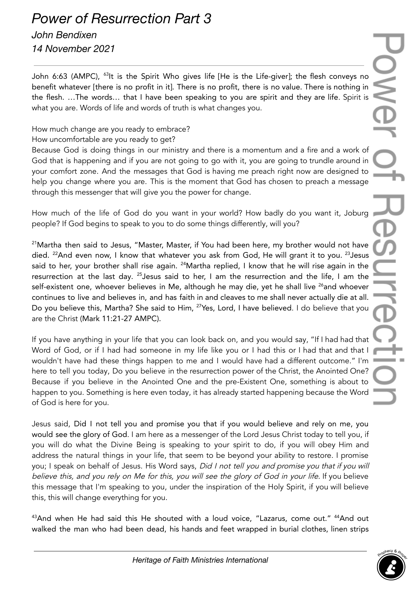## *Power of Resurrection Part 3*

## *John Bendixen 14 November 2021*

John 6:63 (AMPC), <sup>63</sup>It is the Spirit Who gives life [He is the Life-giver]; the flesh conveys no benefit whatever [there is no profit in it]. There is no profit, there is no value. There is nothing in the flesh. …The words… that I have been speaking to you are spirit and they are life. Spirit is what you are. Words of life and words of truth is what changes you.

## How much change are you ready to embrace?

How uncomfortable are you ready to get?

Because God is doing things in our ministry and there is a momentum and a fire and a work of God that is happening and if you are not going to go with it, you are going to trundle around in your comfort zone. And the messages that God is having me preach right now are designed to help you change where you are. This is the moment that God has chosen to preach a message through this messenger that will give you the power for change.

How much of the life of God do you want in your world? How badly do you want it, Joburg people? If God begins to speak to you to do some things differently, will you?

 $21$ Martha then said to Jesus, "Master, Master, if You had been here, my brother would not have died. <sup>22</sup>And even now, I know that whatever you ask from God, He will grant it to you. <sup>23</sup>Jesus said to her, your brother shall rise again. <sup>24</sup>Martha replied, I know that he will rise again in the resurrection at the last day. <sup>25</sup>Jesus said to her, I am the resurrection and the life, I am the self-existent one, whoever believes in Me, although he may die, yet he shall live <sup>26</sup>and whoever continues to live and believes in, and has faith in and cleaves to me shall never actually die at all. Do you believe this, Martha? She said to Him, <sup>27</sup>Yes, Lord, I have believed. I do believe that you are the Christ (Mark 11:21-27 AMPC).

If you have anything in your life that you can look back on, and you would say, "If I had had that Word of God, or if I had had someone in my life like you or I had this or I had that and that I wouldn't have had these things happen to me and I would have had a different outcome." I'm here to tell you today, Do you believe in the resurrection power of the Christ, the Anointed One? Because if you believe in the Anointed One and the pre-Existent One, something is about to happen to you. Something is here even today, it has already started happening because the Word of God is here for you.

Jesus said, Did I not tell you and promise you that if you would believe and rely on me, you would see the glory of God. I am here as a messenger of the Lord Jesus Christ today to tell you, if you will do what the Divine Being is speaking to your spirit to do, if you will obey Him and address the natural things in your life, that seem to be beyond your ability to restore. I promise you; I speak on behalf of Jesus. His Word says, Did I not tell you and promise you that if you will believe this, and you rely on Me for this, you will see the glory of God in your life. If you believe this message that I'm speaking to you, under the inspiration of the Holy Spirit, if you will believe this, this will change everything for you.

<sup>43</sup>And when He had said this He shouted with a loud voice, "Lazarus, come out." <sup>44</sup>And out walked the man who had been dead, his hands and feet wrapped in burial clothes, linen strips

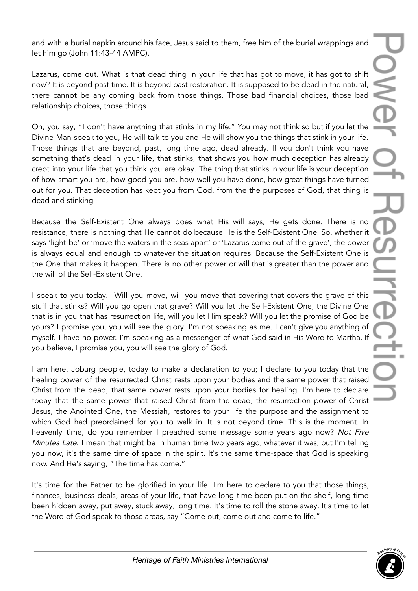and with a burial napkin around his face, Jesus said to them, free him of the burial wrappings and let him go (John 11:43-44 AMPC).

Lazarus, come out. What is that dead thing in your life that has got to move, it has got to shift now? It is beyond past time. It is beyond past restoration. It is supposed to be dead in the natural, there cannot be any coming back from those things. Those bad financial choices, those bad relationship choices, those things.

Oh, you say, "I don't have anything that stinks in my life." You may not think so but if you let the Divine Man speak to you, He will talk to you and He will show you the things that stink in your life. Those things that are beyond, past, long time ago, dead already. If you don't think you have something that's dead in your life, that stinks, that shows you how much deception has already crept into your life that you think you are okay. The thing that stinks in your life is your deception of how smart you are, how good you are, how well you have done, how great things have turned out for you. That deception has kept you from God, from the the purposes of God, that thing is dead and stinking

Because the Self-Existent One always does what His will says, He gets done. There is no resistance, there is nothing that He cannot do because He is the Self-Existent One. So, whether it says 'light be' or 'move the waters in the seas apart' or 'Lazarus come out of the grave', the power is always equal and enough to whatever the situation requires. Because the Self-Existent One is the One that makes it happen. There is no other power or will that is greater than the power and the will of the Self-Existent One.

I speak to you today. Will you move, will you move that covering that covers the grave of this stuff that stinks? Will you go open that grave? Will you let the Self-Existent One, the Divine One that is in you that has resurrection life, will you let Him speak? Will you let the promise of God be yours? I promise you, you will see the glory. I'm not speaking as me. I can't give you anything of myself. I have no power. I'm speaking as a messenger of what God said in His Word to Martha. If you believe, I promise you, you will see the glory of God.

I am here, Joburg people, today to make a declaration to you; I declare to you today that the healing power of the resurrected Christ rests upon your bodies and the same power that raised Christ from the dead, that same power rests upon your bodies for healing. I'm here to declare today that the same power that raised Christ from the dead, the resurrection power of Christ Jesus, the Anointed One, the Messiah, restores to your life the purpose and the assignment to which God had preordained for you to walk in. It is not beyond time. This is the moment. In heavenly time, do you remember I preached some message some years ago now? Not Five Minutes Late. I mean that might be in human time two years ago, whatever it was, but I'm telling you now, it's the same time of space in the spirit. It's the same time-space that God is speaking now. And He's saying, "The time has come."

It's time for the Father to be glorified in your life. I'm here to declare to you that those things, finances, business deals, areas of your life, that have long time been put on the shelf, long time been hidden away, put away, stuck away, long time. It's time to roll the stone away. It's time to let the Word of God speak to those areas, say "Come out, come out and come to life."